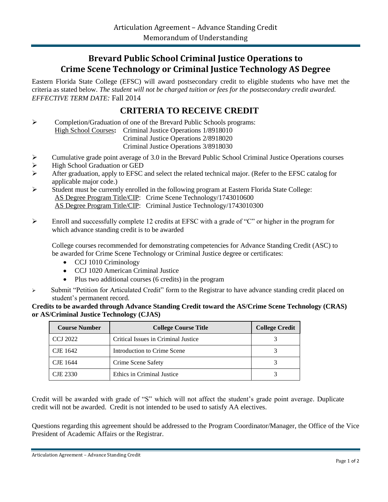## **Brevard Public School Criminal Justice Operations to Crime Scene Technology or Criminal Justice Technology AS Degree**

Eastern Florida State College (EFSC) will award postsecondary credit to eligible students who have met the criteria as stated below. *The student will not be charged tuition or fees for the postsecondary credit awarded. EFFECTIVE TERM DATE:* Fall 2014

## **CRITERIA TO RECEIVE CREDIT**

 Completion/Graduation of one of the Brevard Public Schools programs: High School Courses**:** Criminal Justice Operations 1/8918010 Criminal Justice Operations 2/8918020

Criminal Justice Operations 3/8918030

- Cumulative grade point average of 3.0 in the Brevard Public School Criminal Justice Operations courses
- High School Graduation or GED
- After graduation, apply to EFSC and select the related technical major. (Refer to the EFSC catalog for applicable major code.)
- Student must be currently enrolled in the following program at Eastern Florida State College: AS Degree Program Title/CIP: Crime Scene Technology/1743010600 AS Degree Program Title/CIP: Criminal Justice Technology/1743010300
- Enroll and successfully complete 12 credits at EFSC with a grade of "C" or higher in the program for which advance standing credit is to be awarded

College courses recommended for demonstrating competencies for Advance Standing Credit (ASC) to be awarded for Crime Scene Technology or Criminal Justice degree or certificates:

- CCJ 1010 Criminology
- CCJ 1020 American Criminal Justice
- Plus two additional courses (6 credits) in the program
- $\triangleright$  Submit "Petition for Articulated Credit" form to the Registrar to have advance standing credit placed on student's permanent record.

**Credits to be awarded through Advance Standing Credit toward the AS/Crime Scene Technology (CRAS) or AS/Criminal Justice Technology (CJAS)**

| <b>Course Number</b> | <b>College Course Title</b>         | <b>College Credit</b> |
|----------------------|-------------------------------------|-----------------------|
| <b>CCJ 2022</b>      | Critical Issues in Criminal Justice |                       |
| CJE 1642             | Introduction to Crime Scene         |                       |
| <b>CJE</b> 1644      | Crime Scene Safety                  |                       |
| CJE 2330             | Ethics in Criminal Justice          |                       |

Credit will be awarded with grade of "S" which will not affect the student's grade point average. Duplicate credit will not be awarded. Credit is not intended to be used to satisfy AA electives.

Questions regarding this agreement should be addressed to the Program Coordinator/Manager, the Office of the Vice President of Academic Affairs or the Registrar.